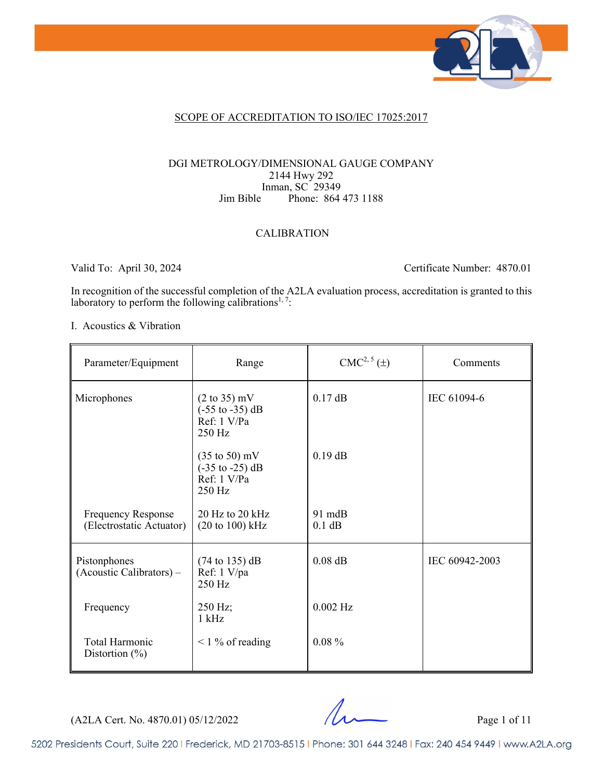

### SCOPE OF ACCREDITATION TO ISO/IEC 17025:2017

### DGI METROLOGY/DIMENSIONAL GAUGE COMPANY 2144 Hwy 292 Inman, SC 29349 Jim Bible Phone: 864 473 1188

## CALIBRATION

Valid To: April 30, 2024 Certificate Number: 4870.01

In recognition of the successful completion of the A2LA evaluation process, accreditation is granted to this laboratory to perform the following calibrations<sup>1, 7</sup>:

#### I. Acoustics & Vibration

| Parameter/Equipment                                   | Range                                                                                           | $CMC2, 5(\pm)$   | Comments       |
|-------------------------------------------------------|-------------------------------------------------------------------------------------------------|------------------|----------------|
| Microphones                                           | $(2 \text{ to } 35) \text{ mV}$<br>$(-55 \text{ to } -35) \text{ dB}$<br>Ref: 1 V/Pa<br>250 Hz  | $0.17$ dB        | IEC 61094-6    |
|                                                       | $(35 \text{ to } 50) \text{ mV}$<br>$(-35 \text{ to } -25) \text{ dB}$<br>Ref: 1 V/Pa<br>250 Hz | $0.19$ dB        |                |
| <b>Frequency Response</b><br>(Electrostatic Actuator) | 20 Hz to 20 kHz<br>$(20 \text{ to } 100) \text{ kHz}$                                           | 91 mdB<br>0.1 dB |                |
| Pistonphones<br>(Acoustic Calibrators) –              | $(74 \text{ to } 135) \text{ dB}$<br>Ref: 1 V/pa<br>250 Hz                                      | $0.08$ dB        | IEC 60942-2003 |
| Frequency                                             | 250 Hz;<br>$1$ kHz                                                                              | $0.002$ Hz       |                |
| Total Harmonic<br>Distortion $(\% )$                  | $\leq$ 1 % of reading                                                                           | $0.08 \%$        |                |

 $(A2LA$  Cert. No. 4870.01) 05/12/2022 Page 1 of 11

5202 Presidents Court, Suite 220 | Frederick, MD 21703-8515 | Phone: 301 644 3248 | Fax: 240 454 9449 | www.A2LA.org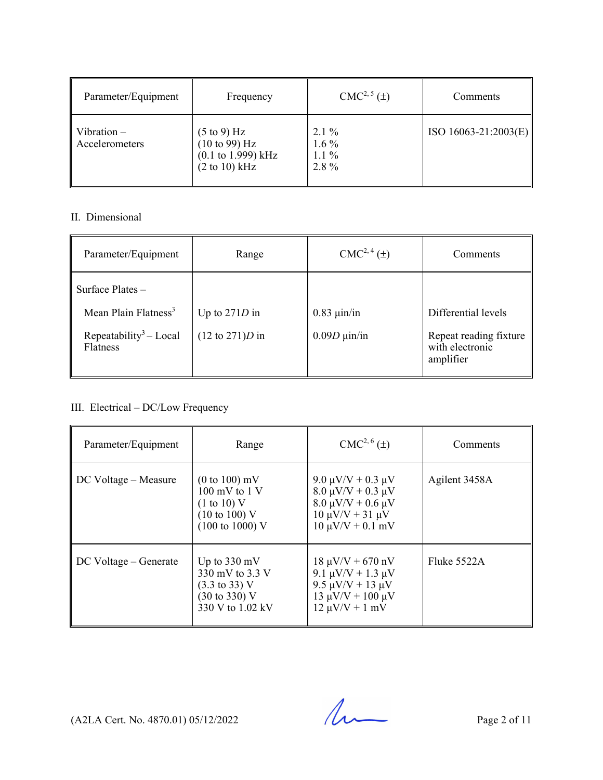| Parameter/Equipment             | Frequency                                                                                                                               | $CMC2, 5(\pm)$                           | Comments               |
|---------------------------------|-----------------------------------------------------------------------------------------------------------------------------------------|------------------------------------------|------------------------|
| Vibration $-$<br>Accelerometers | $(5 \text{ to } 9)$ Hz<br>$(10 \text{ to } 99) \text{ Hz}$<br>$(0.1 \text{ to } 1.999) \text{ kHz}$<br>$(2 \text{ to } 10) \text{ kHz}$ | $2.1\%$<br>$1.6\%$<br>$1.1\%$<br>$2.8\%$ | $ISO 16063-21:2003(E)$ |

## II. Dimensional

| Parameter/Equipment                            | Range                              | $CMC2, 4(\pm)$           | Comments                                               |
|------------------------------------------------|------------------------------------|--------------------------|--------------------------------------------------------|
| Surface Plates $-$                             |                                    |                          |                                                        |
| Mean Plain Flatness <sup>3</sup>               | Up to $271D$ in                    | $0.83 \mu$ in/in         | Differential levels                                    |
| Repeatability <sup>3</sup> - Local<br>Flatness | $(12 \text{ to } 271)D \text{ in}$ | $0.09D \mu \text{in/in}$ | Repeat reading fixture<br>with electronic<br>amplifier |

## III. Electrical – DC/Low Frequency

| Parameter/Equipment   | Range                                                                                                                                         | $CMC2, 6(\pm)$                                                                                                                          | Comments      |
|-----------------------|-----------------------------------------------------------------------------------------------------------------------------------------------|-----------------------------------------------------------------------------------------------------------------------------------------|---------------|
| DC Voltage – Measure  | $(0 \text{ to } 100) \text{ mV}$<br>$100 \text{ mV}$ to $1 \text{V}$<br>(1 to 10) V<br>$(10 \text{ to } 100)$ V<br>$(100 \text{ to } 1000)$ V | 9.0 μV/V + 0.3 μV<br>$8.0 \mu V/V + 0.3 \mu V$<br>$8.0 \mu V/V + 0.6 \mu V$<br>$10 \mu V/V + 31 \mu V$<br>$10 \mu V/V + 0.1 \ mV$       | Agilent 3458A |
| DC Voltage – Generate | Up to $330 \text{ mV}$<br>330 mV to 3.3 V<br>$(3.3 \text{ to } 33) \text{ V}$<br>$(30 \text{ to } 330) \text{ V}$<br>330 V to 1.02 kV         | $18 \mu V/V + 670 \ nV$<br>9.1 $\mu$ V/V + 1.3 $\mu$ V<br>9.5 $\mu$ V/V + 13 $\mu$ V<br>$13 \mu V/V + 100 \mu V$<br>$12 \mu V/V + 1 mV$ | Fluke $5522A$ |

(A2LA Cert. No. 4870.01) 05/12/2022 Page 2 of 11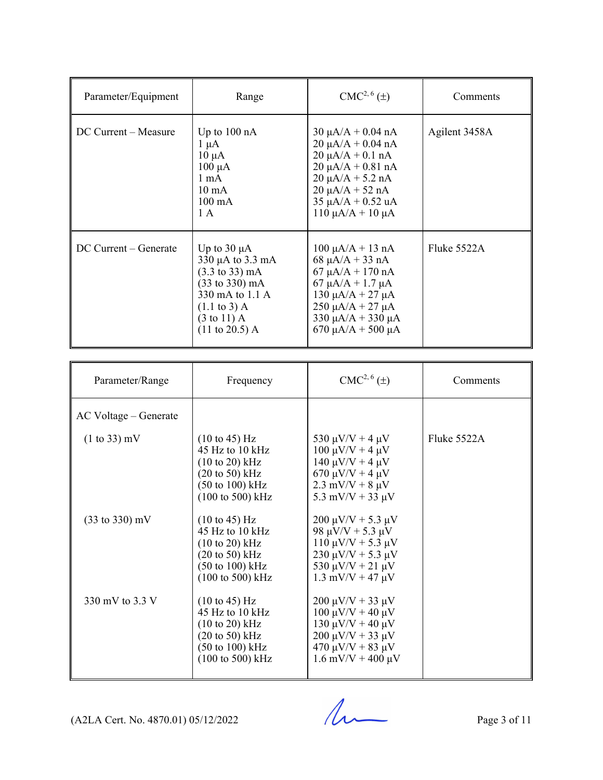| Parameter/Equipment     | Range                                                                                                                                                                                                                              | $CMC2, 6(\pm)$                                                                                                                                                                                                                        | Comments      |
|-------------------------|------------------------------------------------------------------------------------------------------------------------------------------------------------------------------------------------------------------------------------|---------------------------------------------------------------------------------------------------------------------------------------------------------------------------------------------------------------------------------------|---------------|
| DC Current – Measure    | Up to $100 \text{ nA}$<br>$1 \mu A$<br>$10 \mu A$<br>$100 \mu A$<br>$1 \text{ mA}$<br>$10 \text{ mA}$<br>$100 \text{ mA}$<br>1A                                                                                                    | $30 \mu A/A + 0.04 \text{ nA}$<br>$20 \mu A/A + 0.04 nA$<br>$20 \mu A/A + 0.1 \text{ nA}$<br>$20 \mu A/A + 0.81 \text{ nA}$<br>$20 \mu A/A + 5.2 nA$<br>$20 \mu A/A + 52 nA$<br>$35 \mu A/A + 0.52 \mu A$<br>$110 \mu A/A + 10 \mu A$ | Agilent 3458A |
| $DC$ Current – Generate | Up to $30 \mu A$<br>$330 \mu A$ to $3.3 \text{ mA}$<br>$(3.3 \text{ to } 33) \text{ mA}$<br>$(33 \text{ to } 330) \text{ mA}$<br>330 mA to 1.1 A<br>$(1.1 \text{ to } 3)$ A<br>$(3 \text{ to } 11)$ A<br>$(11 \text{ to } 20.5)$ A | $100 \mu A/A + 13 \text{ nA}$<br>68 $\mu$ A/A + 33 nA<br>$67 \mu A/A + 170 \text{ nA}$<br>$67 \mu A/A + 1.7 \mu A$<br>$130 \mu A/A + 27 \mu A$<br>$250 \mu A/A + 27 \mu A$<br>$330 \mu A/A + 330 \mu A$<br>670 μA/A + 500 μA          | Fluke 5522A   |

| Parameter/Range                   | Frequency                                                                                                                                                                                                  | $CMC2, 6(\pm)$                                                                                                                                                             | Comments      |
|-----------------------------------|------------------------------------------------------------------------------------------------------------------------------------------------------------------------------------------------------------|----------------------------------------------------------------------------------------------------------------------------------------------------------------------------|---------------|
| AC Voltage – Generate             |                                                                                                                                                                                                            |                                                                                                                                                                            |               |
| $(1 to 33)$ mV                    | $(10 \text{ to } 45) \text{ Hz}$<br>45 Hz to $10$ kHz<br>$(10 \text{ to } 20) \text{ kHz}$<br>$(20 \text{ to } 50)$ kHz<br>$(50 \text{ to } 100) \text{ kHz}$<br>$(100 \text{ to } 500) \text{ kHz}$       | 530 $\mu$ V/V + 4 $\mu$ V<br>$100 \mu V/V + 4 \mu V$<br>$140 \mu V/V + 4 \mu V$<br>$670 \mu V/V + 4 \mu V$<br>$2.3 \text{ mV/V} + 8 \mu \text{V}$<br>5.3 mV/V + 33 $\mu$ V | Fluke $5522A$ |
| $(33 \text{ to } 330) \text{ mV}$ | $(10 \text{ to } 45) \text{ Hz}$<br>45 Hz to 10 kHz<br>$(10 \text{ to } 20) \text{ kHz}$<br>$(20 \text{ to } 50) \text{ kHz}$<br>$(50 \text{ to } 100) \text{ kHz}$<br>$(100 \text{ to } 500) \text{ kHz}$ | $200 \mu V/V + 5.3 \mu V$<br>98 $\mu$ V/V + 5.3 $\mu$ V<br>$110 \mu V/V + 5.3 \mu V$<br>$230 \mu V/V + 5.3 \mu V$<br>530 $\mu$ V/V + 21 $\mu$ V<br>$1.3$ mV/V + 47 $\mu$ V |               |
| 330 mV to 3.3 V                   | $(10 \text{ to } 45) \text{ Hz}$<br>45 Hz to 10 kHz<br>$(10 \text{ to } 20) \text{ kHz}$<br>$(20 \text{ to } 50) \text{ kHz}$<br>$(50 \text{ to } 100) \text{ kHz}$<br>$(100 \text{ to } 500) \text{ kHz}$ | $200 \mu V/V + 33 \mu V$<br>$100 \mu V/V + 40 \mu V$<br>130 μV/V + 40 μV<br>$200 \mu V/V + 33 \mu V$<br>$470 \mu V/V + 83 \mu V$<br>$1.6$ mV/V + 400 $\mu$ V               |               |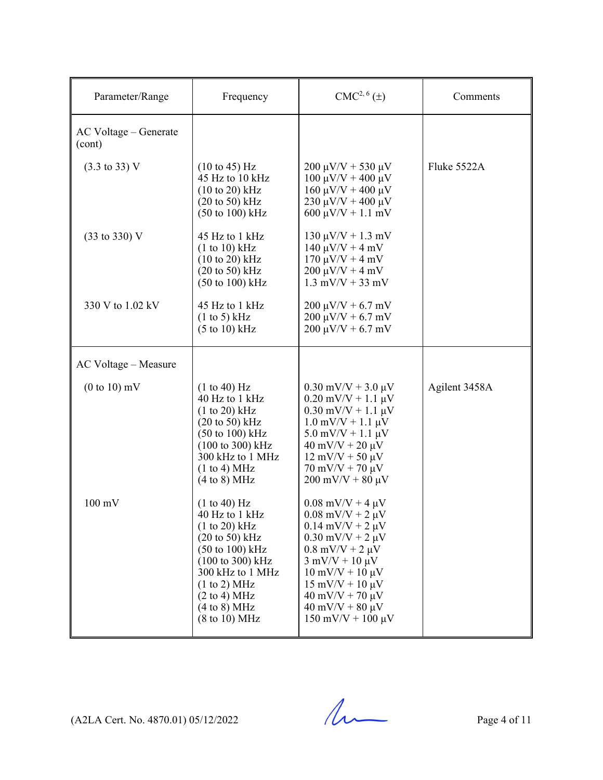| Parameter/Range                  | Frequency                                                                                                                                                                                                                                                                                                 | CMC <sup>2, 6</sup> (±)                                                                                                                                                                                                                                                                                                                                                                 | Comments      |
|----------------------------------|-----------------------------------------------------------------------------------------------------------------------------------------------------------------------------------------------------------------------------------------------------------------------------------------------------------|-----------------------------------------------------------------------------------------------------------------------------------------------------------------------------------------------------------------------------------------------------------------------------------------------------------------------------------------------------------------------------------------|---------------|
| AC Voltage – Generate<br>(cont)  |                                                                                                                                                                                                                                                                                                           |                                                                                                                                                                                                                                                                                                                                                                                         |               |
| $(3.3 \text{ to } 33) \text{ V}$ | $(10 \text{ to } 45)$ Hz<br>45 Hz to 10 kHz<br>$(10 \text{ to } 20) \text{ kHz}$<br>$(20 \text{ to } 50) \text{ kHz}$<br>$(50 \text{ to } 100) \text{ kHz}$                                                                                                                                               | $200 \mu V/V + 530 \mu V$<br>100 μV/V + 400 μV<br>$160 \mu V/V + 400 \mu V$<br>$230 \mu V/V + 400 \mu V$<br>$600 \mu V/V + 1.1 \ mV$                                                                                                                                                                                                                                                    | Fluke 5522A   |
| (33 to 330) V                    | 45 Hz to 1 kHz<br>(1 to 10) kHz<br>$(10 \text{ to } 20) \text{ kHz}$<br>$(20 \text{ to } 50)$ kHz<br>$(50 \text{ to } 100) \text{ kHz}$                                                                                                                                                                   | $130 \mu V/V + 1.3 \ mV$<br>$140 \mu V/V + 4 \ mV$<br>$170 \mu V/V + 4 \ mV$<br>$200 \mu V/V + 4 \ mV$<br>$1.3$ mV/V + 33 mV                                                                                                                                                                                                                                                            |               |
| 330 V to 1.02 kV                 | 45 Hz to 1 kHz<br>(1 to 5) kHz<br>$(5 \text{ to } 10) \text{ kHz}$                                                                                                                                                                                                                                        | $200 \mu V/V + 6.7 \ mV$<br>$200 \mu V/V + 6.7 \ mV$<br>$200 \mu V/V + 6.7 \ mV$                                                                                                                                                                                                                                                                                                        |               |
| AC Voltage - Measure             |                                                                                                                                                                                                                                                                                                           |                                                                                                                                                                                                                                                                                                                                                                                         |               |
| $(0 to 10)$ mV                   | (1 to 40) Hz<br>40 Hz to 1 kHz<br>(1 to 20) kHz<br>$(20 \text{ to } 50) \text{ kHz}$<br>$(50 \text{ to } 100) \text{ kHz}$<br>(100 to 300) kHz<br>300 kHz to 1 MHz<br>(1 to 4) MHz<br>(4 to 8) MHz                                                                                                        | $0.30$ mV/V + 3.0 $\mu$ V<br>$0.20$ mV/V + 1.1 $\mu$ V<br>$0.30$ mV/V + 1.1 $\mu$ V<br>$1.0$ mV/V + $1.1 \mu$ V<br>$5.0$ mV/V + 1.1 $\mu$ V<br>$40 \text{ mV/V} + 20 \mu\text{V}$<br>$12 \text{ mV/V} + 50 \text{ \mu V}$<br>$70 \text{ mV/V} + 70 \mu V$<br>$200 \text{ mV/V} + 80 \text{ \mu V}$                                                                                      | Agilent 3458A |
| $100 \text{ mV}$                 | (1 to 40) Hz<br>40 Hz to 1 kHz<br>$(1 to 20)$ kHz<br>$(20 \text{ to } 50)$ kHz<br>$(50 \text{ to } 100) \text{ kHz}$<br>$(100 \text{ to } 300) \text{ kHz}$<br>300 kHz to 1 MHz<br>(1 to 2) MHz<br>$(2 \text{ to } 4) \text{ MHz}$<br>$(4 \text{ to } 8) \text{ MHz}$<br>$(8 \text{ to } 10) \text{ MHz}$ | $0.08$ mV/V + 4 $\mu$ V<br>$0.08$ mV/V + 2 $\mu$ V<br>$0.14$ mV/V + 2 $\mu$ V<br>$0.30$ mV/V + 2 $\mu$ V<br>$0.8 \text{ mV/V} + 2 \mu \text{V}$<br>$3 \text{ mV/V} + 10 \mu \text{V}$<br>$10 \text{ mV/V} + 10 \text{ \mu V}$<br>$15 \text{ mV/V} + 10 \mu V$<br>$40 \text{ mV/V} + 70 \text{ \mu V}$<br>$40 \text{ mV/V} + 80 \text{ \mu V}$<br>$150 \text{ mV/V} + 100 \text{ \mu V}$ |               |

 $(A2LA$  Cert. No. 4870.01) 05/12/2022 Page 4 of 11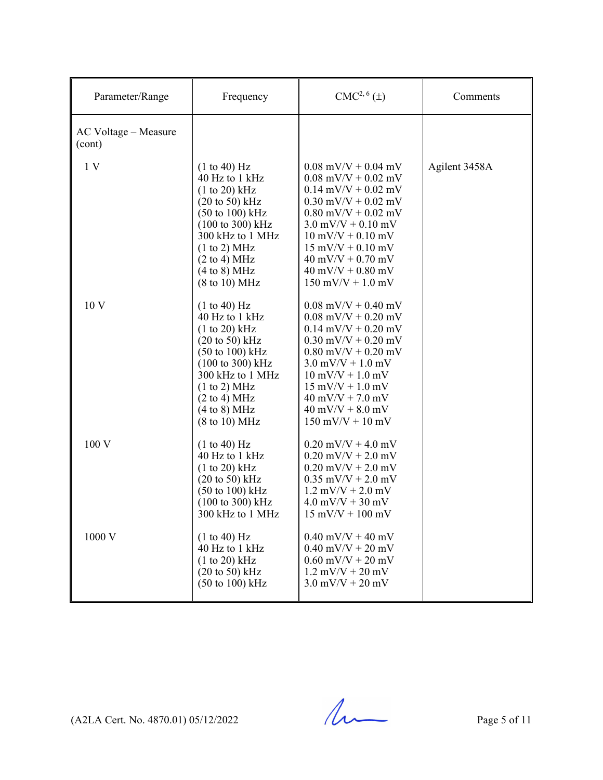| Parameter/Range                | Frequency                                                                                                                                                                                                                                                                                      | $CMC2, 6(\pm)$                                                                                                                                                                                                                                                                                                                                         | Comments      |
|--------------------------------|------------------------------------------------------------------------------------------------------------------------------------------------------------------------------------------------------------------------------------------------------------------------------------------------|--------------------------------------------------------------------------------------------------------------------------------------------------------------------------------------------------------------------------------------------------------------------------------------------------------------------------------------------------------|---------------|
| AC Voltage - Measure<br>(cont) |                                                                                                                                                                                                                                                                                                |                                                                                                                                                                                                                                                                                                                                                        |               |
| 1V                             | (1 to 40) Hz<br>40 Hz to 1 kHz<br>$(1 to 20)$ kHz<br>$(20 \text{ to } 50) \text{ kHz}$<br>$(50 \text{ to } 100) \text{ kHz}$<br>$(100 \text{ to } 300) \text{ kHz}$<br>300 kHz to 1 MHz<br>(1 to 2) MHz<br>$(2 \text{ to } 4) \text{ MHz}$<br>(4 to 8) MHz<br>$(8 \text{ to } 10) \text{ MHz}$ | $0.08$ mV/V + 0.04 mV<br>$0.08$ mV/V + $0.02$ mV<br>$0.14$ mV/V + $0.02$ mV<br>$0.30$ mV/V + $0.02$ mV<br>$0.80$ mV/V + $0.02$ mV<br>$3.0$ mV/V + 0.10 mV<br>$10 \text{ mV/V} + 0.10 \text{ mV}$<br>$15 \text{ mV/V} + 0.10 \text{ mV}$<br>$40 \text{ mV/V} + 0.70 \text{ mV}$<br>$40 \text{ mV/V} + 0.80 \text{ mV}$<br>$150$ mV/V + $1.0$ mV         | Agilent 3458A |
| 10 V                           | (1 to 40) Hz<br>40 Hz to 1 kHz<br>(1 to 20) kHz<br>$(20 \text{ to } 50)$ kHz<br>$(50 \text{ to } 100) \text{ kHz}$<br>$(100 \text{ to } 300) \text{ kHz}$<br>300 kHz to 1 MHz<br>(1 to 2) MHz<br>$(2 \text{ to } 4) \text{ MHz}$<br>(4 to 8) MHz<br>$(8 \text{ to } 10) \text{ MHz}$           | $0.08$ mV/V + 0.40 mV<br>$0.08$ mV/V + $0.20$ mV<br>$0.14$ mV/V + $0.20$ mV<br>$0.30$ mV/V + $0.20$ mV<br>$0.80$ mV/V + $0.20$ mV<br>$3.0$ mV/V + 1.0 mV<br>$10 \text{ mV/V} + 1.0 \text{ mV}$<br>$15 \text{ mV/V} + 1.0 \text{ mV}$<br>$40 \text{ mV/V} + 7.0 \text{ mV}$<br>$40 \text{ mV/V} + 8.0 \text{ mV}$<br>$150 \text{ mV/V} + 10 \text{ mV}$ |               |
| 100 V                          | (1 to 40) Hz<br>40 Hz to 1 kHz<br>(1 to 20) kHz<br>$(20 \text{ to } 50) \text{ kHz}$<br>$(50 \text{ to } 100) \text{ kHz}$<br>$(100 \text{ to } 300) \text{ kHz}$<br>300 kHz to 1 MHz                                                                                                          | $0.20$ mV/V + 4.0 mV<br>$0.20$ mV/V + 2.0 mV<br>$0.20$ mV/V + 2.0 mV<br>$0.35$ mV/V + 2.0 mV<br>$1.2$ mV/V + 2.0 mV<br>$4.0$ mV/V + 30 mV<br>$15 \text{ mV/V} + 100 \text{ mV}$                                                                                                                                                                        |               |
| 1000 V                         | (1 to 40) Hz<br>40 Hz to 1 kHz<br>(1 to 20) kHz<br>$(20 \text{ to } 50)$ kHz<br>$(50 \text{ to } 100) \text{ kHz}$                                                                                                                                                                             | $0.40$ mV/V + 40 mV<br>$0.40$ mV/V + 20 mV<br>$0.60$ mV/V + 20 mV<br>$1.2$ mV/V + 20 mV<br>$3.0$ mV/V + 20 mV                                                                                                                                                                                                                                          |               |

 $(A2LA$  Cert. No. 4870.01) 05/12/2022 Page 5 of 11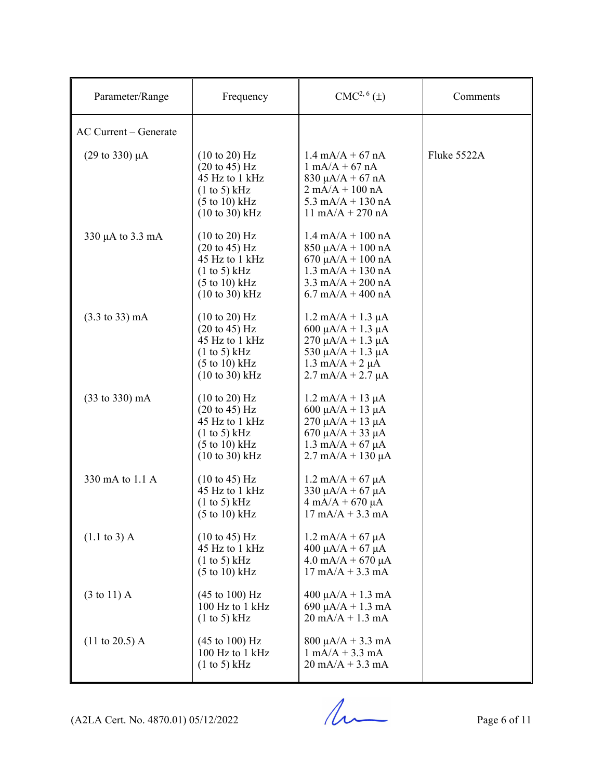| Parameter/Range                   | Frequency                                                                                                                                                               | $CMC2, 6(\pm)$                                                                                                                                                                                        | Comments    |
|-----------------------------------|-------------------------------------------------------------------------------------------------------------------------------------------------------------------------|-------------------------------------------------------------------------------------------------------------------------------------------------------------------------------------------------------|-------------|
| AC Current - Generate             |                                                                                                                                                                         |                                                                                                                                                                                                       |             |
| (29 to 330) µA                    | $(10 \text{ to } 20)$ Hz<br>$(20 \text{ to } 45) \text{ Hz}$<br>45 Hz to 1 kHz<br>(1 to 5) kHz<br>$(5 \text{ to } 10) \text{ kHz}$<br>$(10 to 30)$ kHz                  | $1.4 \text{ mA}/A + 67 \text{ nA}$<br>$1 \text{ mA}/A + 67 \text{ nA}$<br>$830 \mu A/A + 67 \ nA$<br>$2 \text{ mA}/A + 100 \text{ nA}$<br>5.3 mA/A + 130 nA<br>$11 \text{ mA/A} + 270 \text{ nA}$     | Fluke 5522A |
| 330 $\mu$ A to 3.3 mA             | $(10 \text{ to } 20)$ Hz<br>$(20 \text{ to } 45)$ Hz<br>45 Hz to 1 kHz<br>(1 to 5) kHz<br>$(5 \text{ to } 10) \text{ kHz}$<br>$(10 \text{ to } 30) \text{ kHz}$         | $1.4 \text{ mA/A} + 100 \text{ nA}$<br>$850 \mu A/A + 100 \text{ nA}$<br>$670 \mu A/A + 100 \text{ nA}$<br>$1.3$ mA/A + 130 nA<br>$3.3 \text{ mA/A} + 200 \text{ nA}$<br>$6.7$ mA/A + 400 nA          |             |
| $(3.3 \text{ to } 33) \text{ mA}$ | $(10 \text{ to } 20)$ Hz<br>$(20 \text{ to } 45) \text{ Hz}$<br>45 Hz to 1 kHz<br>(1 to 5) kHz<br>$(5 \text{ to } 10) \text{ kHz}$<br>$(10 \text{ to } 30) \text{ kHz}$ | $1.2 \text{ mA/A} + 1.3 \text{ }\mu\text{A}$<br>600 μA/A + 1.3 μA<br>$270 \mu A/A + 1.3 \mu A$<br>530 $\mu$ A/A + 1.3 $\mu$ A<br>$1.3 \text{ mA}/A + 2 \mu A$<br>$2.7 \text{ mA/A} + 2.7 \mu\text{A}$ |             |
| $(33 \text{ to } 330) \text{ mA}$ | $(10 \text{ to } 20)$ Hz<br>$(20 \text{ to } 45) \text{ Hz}$<br>45 Hz to 1 kHz<br>(1 to 5) kHz<br>$(5 \text{ to } 10) \text{ kHz}$<br>$(10 \text{ to } 30) \text{ kHz}$ | $1.2 \text{ mA/A} + 13 \mu\text{A}$<br>600 $\mu$ A/A + 13 $\mu$ A<br>$270 \mu A/A + 13 \mu A$<br>670 μA/A + 33 μA<br>$1.3 \text{ mA/A} + 67 \mu\text{A}$<br>$2.7 \text{ mA/A} + 130 \mu\text{A}$      |             |
| 330 mA to 1.1 A                   | $(10 \text{ to } 45) \text{ Hz}$<br>45 Hz to 1 kHz<br>$(1 \text{ to } 5)$ kHz<br>$(5 \text{ to } 10) \text{ kHz}$                                                       | $1.2 \text{ mA/A} + 67 \mu\text{A}$<br>330 $\mu A/A + 67 \mu A$<br>$4 \text{ mA}/A + 670 \mu A$<br>$17 \text{ mA/A} + 3.3 \text{ mA}$                                                                 |             |
| $(1.1 \text{ to } 3)$ A           | $(10 \text{ to } 45) \text{ Hz}$<br>45 Hz to 1 kHz<br>(1 to 5) kHz<br>$(5 \text{ to } 10) \text{ kHz}$                                                                  | $1.2 \text{ mA/A} + 67 \text{ }\mu\text{A}$<br>$400 \mu A/A + 67 \mu A$<br>$4.0$ mA/A + 670 µA<br>$17 \text{ mA/A} + 3.3 \text{ mA}$                                                                  |             |
| $(3 \text{ to } 11)$ A            | $(45 \text{ to } 100) \text{ Hz}$<br>100 Hz to 1 kHz<br>(1 to 5) kHz                                                                                                    | $400 \mu A/A + 1.3 \text{ mA}$<br>690 $\mu A/A + 1.3$ mA<br>$20 \text{ mA/A} + 1.3 \text{ mA}$                                                                                                        |             |
| $(11 \text{ to } 20.5)$ A         | $(45 \text{ to } 100) \text{ Hz}$<br>100 Hz to 1 kHz<br>$(1 \text{ to } 5)$ kHz                                                                                         | $800 \mu A/A + 3.3 \text{ mA}$<br>$1 \text{ mA}/A + 3.3 \text{ mA}$<br>$20 \text{ mA/A} + 3.3 \text{ mA}$                                                                                             |             |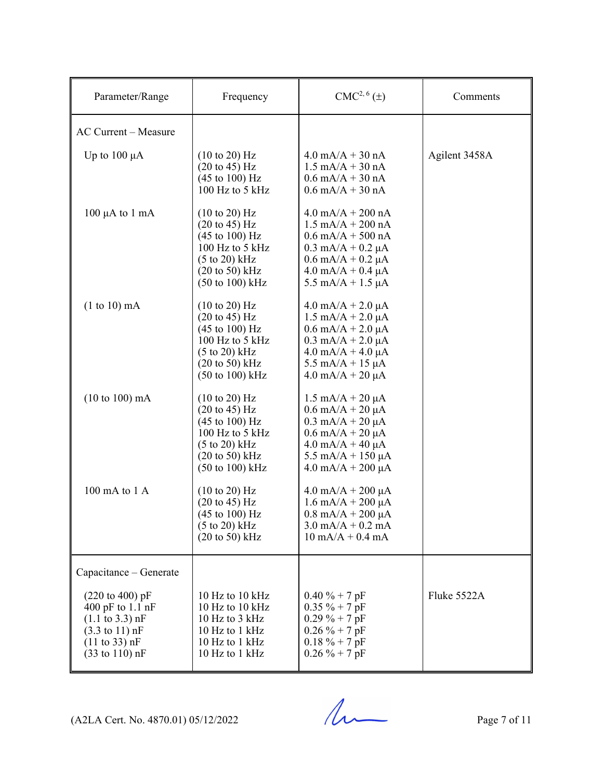| Parameter/Range                                                                                                                                                                                            | Frequency                                                                                                                                                                                                                           | CMC <sup>2, 6</sup> (±)                                                                                                                                                                                                                                             | Comments      |
|------------------------------------------------------------------------------------------------------------------------------------------------------------------------------------------------------------|-------------------------------------------------------------------------------------------------------------------------------------------------------------------------------------------------------------------------------------|---------------------------------------------------------------------------------------------------------------------------------------------------------------------------------------------------------------------------------------------------------------------|---------------|
| <b>AC Current - Measure</b>                                                                                                                                                                                |                                                                                                                                                                                                                                     |                                                                                                                                                                                                                                                                     |               |
| Up to $100 \mu A$                                                                                                                                                                                          | $(10 \text{ to } 20)$ Hz<br>$(20 \text{ to } 45) \text{ Hz}$<br>$(45 \text{ to } 100) \text{ Hz}$<br>100 Hz to 5 kHz                                                                                                                | $4.0 \text{ mA/A} + 30 \text{ nA}$<br>$1.5 \text{ mA/A} + 30 \text{ nA}$<br>$0.6$ mA/A + 30 nA<br>$0.6$ mA/A + 30 nA                                                                                                                                                | Agilent 3458A |
| $100 \mu A$ to $1 \text{ mA}$                                                                                                                                                                              | $(10 \text{ to } 20)$ Hz<br>$(20 \text{ to } 45) \text{ Hz}$<br>$(45 \text{ to } 100) \text{ Hz}$<br>100 Hz to 5 kHz<br>(5 to 20) kHz<br>$(20 \text{ to } 50)$ kHz<br>$(50 \text{ to } 100) \text{ kHz}$                            | $4.0$ mA/A + 200 nA<br>$1.5 \text{ mA/A} + 200 \text{ nA}$<br>$0.6$ mA/A + 500 nA<br>$0.3$ mA/A + $0.2$ µA<br>$0.6$ mA/A + $0.2$ µA<br>$4.0$ mA/A + 0.4 $\mu$ A<br>5.5 mA/A + 1.5 $\mu$ A                                                                           |               |
| $(1 to 10)$ mA                                                                                                                                                                                             | $(10 \text{ to } 20)$ Hz<br>$(20 \text{ to } 45) \text{ Hz}$<br>$(45 \text{ to } 100) \text{ Hz}$<br>100 Hz to 5 kHz<br>$(5 \text{ to } 20)$ kHz<br>$(20 \text{ to } 50)$ kHz<br>(50 to 100) kHz                                    | $4.0$ mA/A + 2.0 $\mu$ A<br>$1.5 \text{ mA/A} + 2.0 \mu\text{A}$<br>$0.6$ mA/A + $2.0$ µA<br>$0.3$ mA/A + 2.0 $\mu$ A<br>$4.0 \text{ mA/A} + 4.0 \mu\text{A}$<br>$5.5 \text{ mA/A} + 15 \mu\text{A}$<br>$4.0 \text{ mA/A} + 20 \mu\text{A}$                         |               |
| $(10 to 100)$ mA                                                                                                                                                                                           | $(10 \text{ to } 20)$ Hz<br>$(20 \text{ to } 45) \text{ Hz}$<br>$(45 \text{ to } 100) \text{ Hz}$<br>100 Hz to 5 kHz<br>$(5 \text{ to } 20) \text{ kHz}$<br>$(20 \text{ to } 50) \text{ kHz}$<br>$(50 \text{ to } 100) \text{ kHz}$ | $1.5 \text{ mA/A} + 20 \mu\text{A}$<br>$0.6 \text{ mA/A} + 20 \mu\text{A}$<br>$0.3 \text{ mA/A} + 20 \mu\text{A}$<br>$0.6$ mA/A + 20 $\mu$ A<br>$4.0 \text{ mA/A} + 40 \mu\text{A}$<br>$5.5 \text{ mA/A} + 150 \mu\text{A}$<br>$4.0 \text{ mA/A} + 200 \mu\text{A}$ |               |
| 100 mA to 1 A                                                                                                                                                                                              | $(10 \text{ to } 20)$ Hz<br>$(20 \text{ to } 45) \text{ Hz}$<br>$(45 \text{ to } 100) \text{ Hz}$<br>$(5 to 20)$ kHz<br>$(20 \text{ to } 50)$ kHz                                                                                   | $4.0$ mA/A + 200 µA<br>$1.6 \text{ mA/A} + 200 \mu\text{A}$<br>$0.8$ mA/A + 200 µA<br>$3.0 \text{ mA/A} + 0.2 \text{ mA}$<br>$10 \text{ mA/A} + 0.4 \text{ mA}$                                                                                                     |               |
| Capacitance - Generate                                                                                                                                                                                     |                                                                                                                                                                                                                                     |                                                                                                                                                                                                                                                                     |               |
| $(220 \text{ to } 400) \text{ pF}$<br>400 pF to 1.1 nF<br>$(1.1 \text{ to } 3.3) \text{ nF}$<br>$(3.3 \text{ to } 11) \text{ nF}$<br>$(11 \text{ to } 33) \text{ nF}$<br>$(33 \text{ to } 110) \text{ nF}$ | 10 Hz to 10 $kHz$<br>10 Hz to $10$ kHz<br>10 Hz to 3 kHz<br>10 Hz to 1 kHz<br>10 Hz to 1 kHz<br>10 Hz to 1 kHz                                                                                                                      | $0.40 \% + 7 pF$<br>$0.35 \% + 7 pF$<br>$0.29 \% + 7 pF$<br>$0.26 \% + 7 pF$<br>$0.18 \% + 7 pF$<br>$0.26 \% + 7 pF$                                                                                                                                                | Fluke 5522A   |

 $(A2LA$  Cert. No. 4870.01) 05/12/2022 Page 7 of 11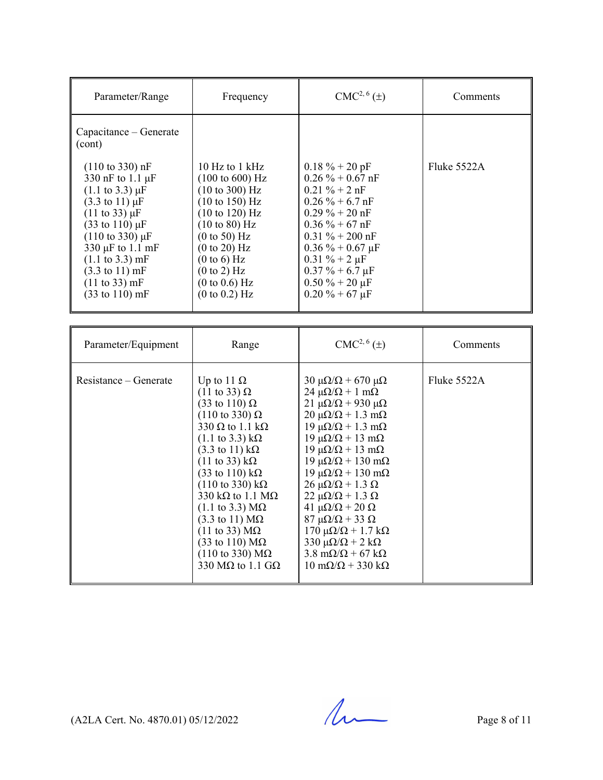| Parameter/Range                                                                                                                                                                                                                                                                                                                                                                                         | Frequency                                                                                                                                                                                                                                                                                                                                                                                                                                                                                                                                                                                                                                                            | $CMC2, 6(\pm)$                                                                                                                                                                                                                                                                                                                                                                                                                                                                                                                                                                                                                                                                                                                  | Comments    |
|---------------------------------------------------------------------------------------------------------------------------------------------------------------------------------------------------------------------------------------------------------------------------------------------------------------------------------------------------------------------------------------------------------|----------------------------------------------------------------------------------------------------------------------------------------------------------------------------------------------------------------------------------------------------------------------------------------------------------------------------------------------------------------------------------------------------------------------------------------------------------------------------------------------------------------------------------------------------------------------------------------------------------------------------------------------------------------------|---------------------------------------------------------------------------------------------------------------------------------------------------------------------------------------------------------------------------------------------------------------------------------------------------------------------------------------------------------------------------------------------------------------------------------------------------------------------------------------------------------------------------------------------------------------------------------------------------------------------------------------------------------------------------------------------------------------------------------|-------------|
| Capacitance - Generate<br>(cont)                                                                                                                                                                                                                                                                                                                                                                        |                                                                                                                                                                                                                                                                                                                                                                                                                                                                                                                                                                                                                                                                      |                                                                                                                                                                                                                                                                                                                                                                                                                                                                                                                                                                                                                                                                                                                                 |             |
| $(110 \text{ to } 330) \text{ nF}$<br>330 nF to 1.1 µF<br>$(1.1 \text{ to } 3.3) \mu F$<br>$(3.3 \text{ to } 11) \mu F$<br>$(11 \text{ to } 33) \mu F$<br>$(33 \text{ to } 110) \,\mu\text{F}$<br>$(110 \text{ to } 330) \mu F$<br>330 µF to 1.1 mF<br>$(1.1 \text{ to } 3.3) \text{ mF}$<br>$(3.3 \text{ to } 11) \text{ mF}$<br>$(11 \text{ to } 33) \text{ mF}$<br>$(33 \text{ to } 110) \text{ mF}$ | 10 Hz to $1$ kHz<br>$(100 \text{ to } 600) \text{ Hz}$<br>(10 to 300) Hz<br>$(10 \text{ to } 150)$ Hz<br>(10 to 120) Hz<br>$(10 \text{ to } 80)$ Hz<br>(0 to 50) Hz<br>(0 to 20) Hz<br>(0 to 6) Hz<br>(0 to 2) Hz<br>(0 to 0.6) Hz<br>(0 to 0.2) Hz                                                                                                                                                                                                                                                                                                                                                                                                                  | $0.18 \% + 20 pF$<br>$0.26 \% + 0.67 nF$<br>$0.21 \% + 2 nF$<br>$0.26 \% + 6.7 nF$<br>$0.29 \% + 20 nF$<br>$0.36\% + 67$ nF<br>$0.31 \% + 200 nF$<br>$0.36\% + 0.67 \,\mu F$<br>$0.31 \% + 2 \mu F$<br>$0.37 \% + 6.7 \mu F$<br>$0.50 \% + 20 \mu F$<br>$0.20 \% + 67 \mu F$                                                                                                                                                                                                                                                                                                                                                                                                                                                    | Fluke 5522A |
| Parameter/Equipment                                                                                                                                                                                                                                                                                                                                                                                     | Range                                                                                                                                                                                                                                                                                                                                                                                                                                                                                                                                                                                                                                                                | $CMC2, 6(\pm)$                                                                                                                                                                                                                                                                                                                                                                                                                                                                                                                                                                                                                                                                                                                  | Comments    |
| Resistance – Generate                                                                                                                                                                                                                                                                                                                                                                                   | Up to 11 $\Omega$<br>$(11 \text{ to } 33) \Omega$<br>$(33 \text{ to } 110) \Omega$<br>$(110 \text{ to } 330) \Omega$<br>330 $\Omega$ to 1.1 k $\Omega$<br>$(1.1 \text{ to } 3.3) \text{ k}\Omega$<br>$(3.3 \text{ to } 11) \text{ k}\Omega$<br>$(11 \text{ to } 33) \text{ k}\Omega$<br>$(33 \text{ to } 110) \text{ k}\Omega$<br>$(110 \text{ to } 330) \text{ k}\Omega$<br>330 k $\Omega$ to 1.1 M $\Omega$<br>$(1.1 \text{ to } 3.3) \text{ M}\Omega$<br>$(3.3 \text{ to } 11) \text{ M}\Omega$<br>$(11 \text{ to } 33) \text{ M}\Omega$<br>$(33 \text{ to } 110) \text{ M}\Omega$<br>$(110 \text{ to } 330) \text{ M}\Omega$<br>330 M $\Omega$ to 1.1 G $\Omega$ | $30 \mu\Omega/\Omega$ + 670 μ $\Omega$<br>$24 \mu\Omega/\Omega + 1 \text{ m}\Omega$<br>21 μ $\Omega/\Omega$ + 930 μ $\Omega$<br>$20 \mu\Omega/\Omega + 1.3 \text{ mA}$<br>$19 \mu\Omega/\Omega + 1.3 \text{ mA}$<br>$19 \mu\Omega/\Omega + 13 \mu\Omega$<br>$19 \mu\Omega/\Omega + 13 \mu\Omega$<br>$19 \mu\Omega/\Omega + 130 \text{ mA}$<br>$19 \mu\Omega/\Omega + 130 \text{ m}\Omega$<br>$26 \mu\Omega/\Omega + 1.3 \Omega$<br>$22 \mu\Omega/\Omega + 1.3 \Omega$<br>41 $\mu\Omega/\Omega$ + 20 $\Omega$<br>$87 \mu\Omega/\Omega + 33 \Omega$<br>$170 \mu\Omega/\Omega + 1.7 \kappa\Omega$<br>$330 \mu\Omega/\Omega + 2 k\Omega$<br>$3.8 \text{ m}\Omega/\Omega$ + 67 k $\Omega$<br>$10 \text{ mA}/\Omega$ + 330 k $\Omega$ | Fluke 5522A |

 $(A2LA$  Cert. No. 4870.01) 05/12/2022 Page 8 of 11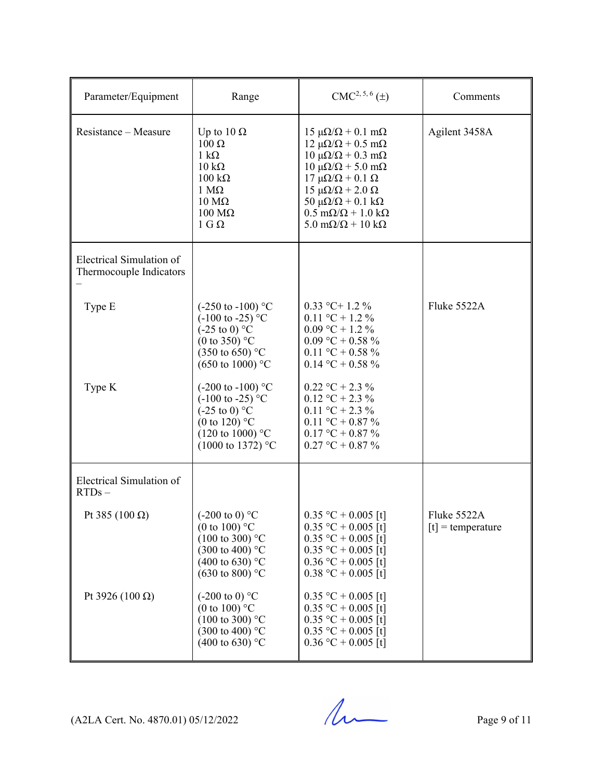| Parameter/Equipment                                 | Range                                                                                                                                                                                     | $CMC2, 5, 6(\pm)$                                                                                                                                                                                                                                                                                                                                                                               | Comments                           |
|-----------------------------------------------------|-------------------------------------------------------------------------------------------------------------------------------------------------------------------------------------------|-------------------------------------------------------------------------------------------------------------------------------------------------------------------------------------------------------------------------------------------------------------------------------------------------------------------------------------------------------------------------------------------------|------------------------------------|
| Resistance - Measure                                | Up to $10 \Omega$<br>$100 \Omega$<br>$1 \text{ k}\Omega$<br>$10 \text{ k}\Omega$<br>$100 \text{ k}\Omega$<br>$1 M\Omega$<br>$10 \text{ M}\Omega$<br>$100 \text{ M}\Omega$<br>$1 G \Omega$ | $15 \mu\Omega/\Omega + 0.1 \text{ m}\Omega$<br>$12 \mu\Omega/\Omega + 0.5 \text{ mA}$<br>$10 \mu\Omega/\Omega + 0.3 \text{ mA}$<br>$10 \mu\Omega/\Omega$ + 5.0 m $\Omega$<br>$17 \mu\Omega/\Omega$ + 0.1 Ω<br>15 μ $\Omega/\Omega$ + 2.0 Ω<br>50 $\mu\Omega/\Omega$ + 0.1 k $\Omega$<br>$0.5 \text{ m}\Omega/\Omega + 1.0 \text{ k}\Omega$<br>$5.0 \text{ m}\Omega/\Omega + 10 \text{ k}\Omega$ | Agilent 3458A                      |
| Electrical Simulation of<br>Thermocouple Indicators |                                                                                                                                                                                           |                                                                                                                                                                                                                                                                                                                                                                                                 |                                    |
| Type E                                              | $(-250 \text{ to } -100)$ °C<br>$(-100 \text{ to } -25)$ °C<br>$(-25 \text{ to } 0)$ °C<br>(0 to 350) $^{\circ}$ C<br>$(350 \text{ to } 650)$ °C<br>$(650 \text{ to } 1000)$ °C           | $0.33$ °C+ 1.2 %<br>$0.11 \text{ °C} + 1.2 \text{ %}$<br>$0.09 \text{ °C} + 1.2 \text{ %}$<br>$0.09 °C + 0.58 \%$<br>$0.11 \text{ °C} + 0.58 \text{ °G}$<br>$0.14$ °C + 0.58 %                                                                                                                                                                                                                  | Fluke 5522A                        |
| Type K                                              | $(-200 \text{ to } -100)$ °C<br>$(-100 \text{ to } -25)$ °C<br>$(-25 \text{ to } 0)$ °C<br>(0 to 120) $^{\circ}$ C<br>$(120 \text{ to } 1000)$ °C<br>$(1000 \text{ to } 1372)$ °C         | $0.22 \text{ °C} + 2.3 \text{ %}$<br>$0.12 \text{ °C} + 2.3 \text{ %}$<br>$0.11 \text{ °C} + 2.3 \text{ %}$<br>$0.11 \text{ °C} + 0.87 \text{ °G}$<br>$0.17 °C + 0.87 \%$<br>$0.27 °C + 0.87 \%$                                                                                                                                                                                                |                                    |
| Electrical Simulation of<br>$RTDs -$                |                                                                                                                                                                                           |                                                                                                                                                                                                                                                                                                                                                                                                 |                                    |
| Pt 385 (100 $\Omega$ )                              | $(-200 \text{ to } 0)$ °C<br>(0 to 100) $^{\circ}$ C<br>$(100 \text{ to } 300)$ °C<br>$(300 \text{ to } 400)$ °C<br>$(400 \text{ to } 630)$ °C<br>$(630 \text{ to } 800)$ °C              | $0.35 °C + 0.005$ [t]<br>$0.35 °C + 0.005$ [t]<br>$0.35 °C + 0.005$ [t]<br>$0.35 °C + 0.005$ [t]<br>$0.36 °C + 0.005$ [t]<br>$0.38 °C + 0.005$ [t]                                                                                                                                                                                                                                              | Fluke 5522A<br>$[t]$ = temperature |
| Pt 3926 (100 $\Omega$ )                             | $(-200 \text{ to } 0)$ °C<br>(0 to 100) $^{\circ}$ C<br>$(100 \text{ to } 300)$ °C<br>$(300 \text{ to } 400)$ °C<br>$(400 \text{ to } 630)$ °C                                            | $0.35 °C + 0.005$ [t]<br>$0.35 °C + 0.005$ [t]<br>$0.35 °C + 0.005$ [t]<br>$0.35 °C + 0.005$ [t]<br>$0.36 °C + 0.005$ [t]                                                                                                                                                                                                                                                                       |                                    |

 $(A2LA$  Cert. No. 4870.01) 05/12/2022 Page 9 of 11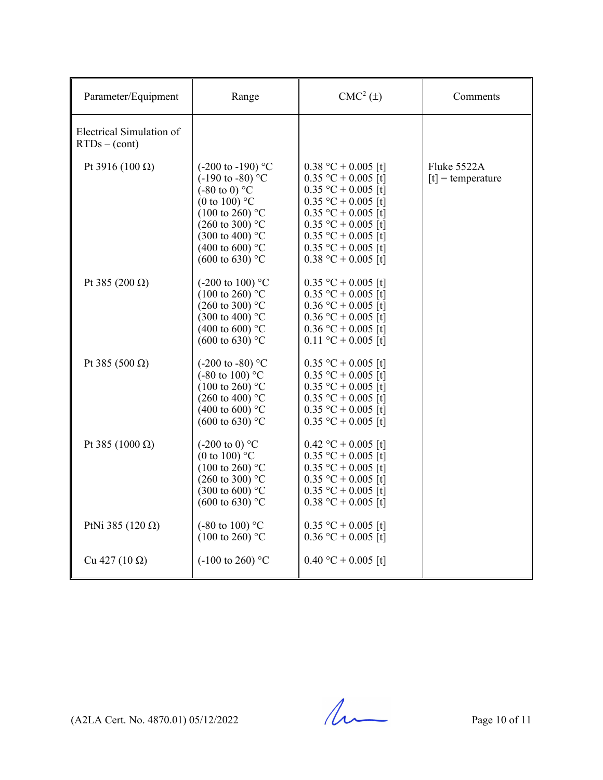| Parameter/Equipment                         | Range                                                                                                                                                                                                                                                                    | $CMC2(\pm)$                                                                                                                                                                                                                   | Comments                           |
|---------------------------------------------|--------------------------------------------------------------------------------------------------------------------------------------------------------------------------------------------------------------------------------------------------------------------------|-------------------------------------------------------------------------------------------------------------------------------------------------------------------------------------------------------------------------------|------------------------------------|
| Electrical Simulation of<br>$RTDs - (cont)$ |                                                                                                                                                                                                                                                                          |                                                                                                                                                                                                                               |                                    |
| Pt 3916 (100 $\Omega$ )                     | $(-200 \text{ to } -190)$ °C<br>$(-190 \text{ to } -80)$ °C<br>$(-80 \text{ to } 0)$ °C<br>(0 to 100) $^{\circ}$ C<br>$(100 \text{ to } 260)$ °C<br>$(260 \text{ to } 300)$ °C<br>$(300 \text{ to } 400)$ °C<br>$(400 \text{ to } 600)$ °C<br>$(600 \text{ to } 630)$ °C | $0.38 °C + 0.005$ [t]<br>$0.35 °C + 0.005$ [t]<br>$0.35 °C + 0.005$ [t]<br>$0.35 °C + 0.005$ [t]<br>$0.35 °C + 0.005$ [t]<br>$0.35 °C + 0.005$ [t]<br>$0.35 °C + 0.005$ [t]<br>$0.35$ °C + 0.005 [t]<br>$0.38 °C + 0.005$ [t] | Fluke 5522A<br>$[t]$ = temperature |
| Pt 385 (200 Ω)                              | $(-200 \text{ to } 100)$ °C<br>$(100 \text{ to } 260)$ °C<br>$(260 \text{ to } 300)$ °C<br>$(300 \text{ to } 400)$ °C<br>(400 to 600) $^{\circ}$ C<br>$(600 \text{ to } 630)$ °C                                                                                         | $0.35 °C + 0.005$ [t]<br>$0.35 °C + 0.005$ [t]<br>$0.36$ °C + 0.005 [t]<br>$0.36 °C + 0.005$ [t]<br>$0.36 °C + 0.005$ [t]<br>$0.11 °C + 0.005$ [t]                                                                            |                                    |
| Pt 385 (500 Ω)                              | $(-200 \text{ to } -80)$ °C<br>$(-80 \text{ to } 100)$ °C<br>$(100 \text{ to } 260)$ °C<br>$(260 \text{ to } 400)$ °C<br>$(400 \text{ to } 600)$ °C<br>$(600 \text{ to } 630)$ °C                                                                                        | $0.35$ °C + 0.005 [t]<br>$0.35 °C + 0.005$ [t]<br>$0.35 °C + 0.005$ [t]<br>$0.35 °C + 0.005$ [t]<br>$0.35 °C + 0.005$ [t]<br>$0.35 °C + 0.005$ [t]                                                                            |                                    |
| Pt 385 (1000 Ω)                             | $(-200 \text{ to } 0)$ °C<br>(0 to 100) $^{\circ}$ C<br>$(100 \text{ to } 260)$ °C<br>$(260 \text{ to } 300)$ °C<br>$(300 \text{ to } 600)$ °C<br>$(600 \text{ to } 630)$ °C                                                                                             | $0.42$ °C + 0.005 [t]<br>$0.35 °C + 0.005$ [t]<br>$0.35 °C + 0.005$ [t]<br>$0.35 °C + 0.005$ [t]<br>$0.35 °C + 0.005$ [t]<br>$0.38 °C + 0.005$ [t]                                                                            |                                    |
| PtNi 385 (120 $\Omega$ )                    | $(-80 \text{ to } 100)$ °C<br>$(100 \text{ to } 260)$ °C                                                                                                                                                                                                                 | $0.35 °C + 0.005$ [t]<br>$0.36 °C + 0.005$ [t]                                                                                                                                                                                |                                    |
| Cu 427 (10 Ω)                               | $(-100 \text{ to } 260)$ °C                                                                                                                                                                                                                                              | $0.40 °C + 0.005$ [t]                                                                                                                                                                                                         |                                    |

 $(A2LA$  Cert. No. 4870.01) 05/12/2022 Page 10 of 11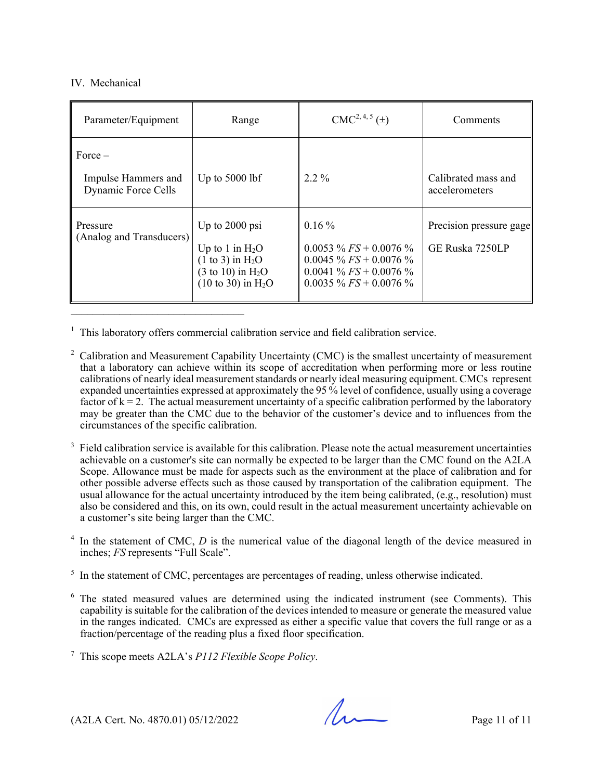## IV. Mechanical

| Parameter/Equipment                                     | Range                                                                                                                                       | $CMC2, 4, 5(\pm)$                                                                                                          | Comments                                   |
|---------------------------------------------------------|---------------------------------------------------------------------------------------------------------------------------------------------|----------------------------------------------------------------------------------------------------------------------------|--------------------------------------------|
| $Force -$<br>Impulse Hammers and<br>Dynamic Force Cells | Up to $5000$ lbf                                                                                                                            | $2.2\%$                                                                                                                    | Calibrated mass and<br>accelerometers      |
| Pressure<br>(Analog and Transducers)                    | Up to $2000$ psi<br>Up to 1 in $H_2O$<br>$(1 \text{ to } 3)$ in $H_2O$<br>$(3 \text{ to } 10)$ in $H_2O$<br>$(10 \text{ to } 30)$ in $H_2O$ | $0.16\%$<br>$0.0053\%$ FS + 0.0076 %<br>$0.0045 \% FS + 0.0076 \%$<br>0.0041 % $FS + 0.0076$ %<br>$0.0035\%$ FS + 0.0076 % | Precision pressure gage<br>GE Ruska 7250LP |

<sup>1</sup> This laboratory offers commercial calibration service and field calibration service.

- <sup>2</sup> Calibration and Measurement Capability Uncertainty (CMC) is the smallest uncertainty of measurement that a laboratory can achieve within its scope of accreditation when performing more or less routine calibrations of nearly ideal measurement standards or nearly ideal measuring equipment. CMCs represent expanded uncertainties expressed at approximately the 95 % level of confidence, usually using a coverage factor of  $k = 2$ . The actual measurement uncertainty of a specific calibration performed by the laboratory may be greater than the CMC due to the behavior of the customer's device and to influences from the circumstances of the specific calibration.
- 3 Field calibration service is available for this calibration. Please note the actual measurement uncertainties achievable on a customer's site can normally be expected to be larger than the CMC found on the A2LA Scope. Allowance must be made for aspects such as the environment at the place of calibration and for other possible adverse effects such as those caused by transportation of the calibration equipment. The usual allowance for the actual uncertainty introduced by the item being calibrated, (e.g., resolution) must also be considered and this, on its own, could result in the actual measurement uncertainty achievable on a customer's site being larger than the CMC.
- $4$  In the statement of CMC,  $D$  is the numerical value of the diagonal length of the device measured in inches; *FS* represents "Full Scale".
- $<sup>5</sup>$  In the statement of CMC, percentages are percentages of reading, unless otherwise indicated.</sup>
- $6$  The stated measured values are determined using the indicated instrument (see Comments). This capability is suitable for the calibration of the devices intended to measure or generate the measured value in the ranges indicated. CMCs are expressed as either a specific value that covers the full range or as a fraction/percentage of the reading plus a fixed floor specification.

7 This scope meets A2LA's *P112 Flexible Scope Policy*.